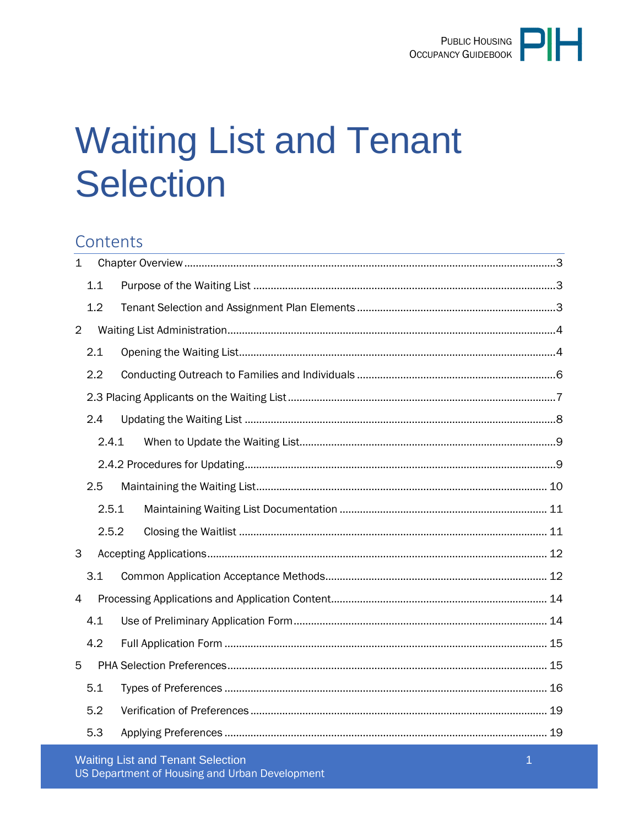# **Waiting List and Tenant Selection**

# Contents

| $\mathbf{1}$   |       |  |  |  |
|----------------|-------|--|--|--|
|                | 1.1   |  |  |  |
|                | 1.2   |  |  |  |
| $\overline{2}$ |       |  |  |  |
|                | 2.1   |  |  |  |
|                | 2.2   |  |  |  |
|                |       |  |  |  |
|                | 2.4   |  |  |  |
|                | 2.4.1 |  |  |  |
|                |       |  |  |  |
|                | 2.5   |  |  |  |
| 2.5.1          |       |  |  |  |
|                | 2.5.2 |  |  |  |
| 3              |       |  |  |  |
|                | 3.1   |  |  |  |
| 4              |       |  |  |  |
|                | 4.1   |  |  |  |
|                | 4.2   |  |  |  |
| 5              |       |  |  |  |
|                | 5.1   |  |  |  |
|                | 5.2   |  |  |  |
|                | 5.3   |  |  |  |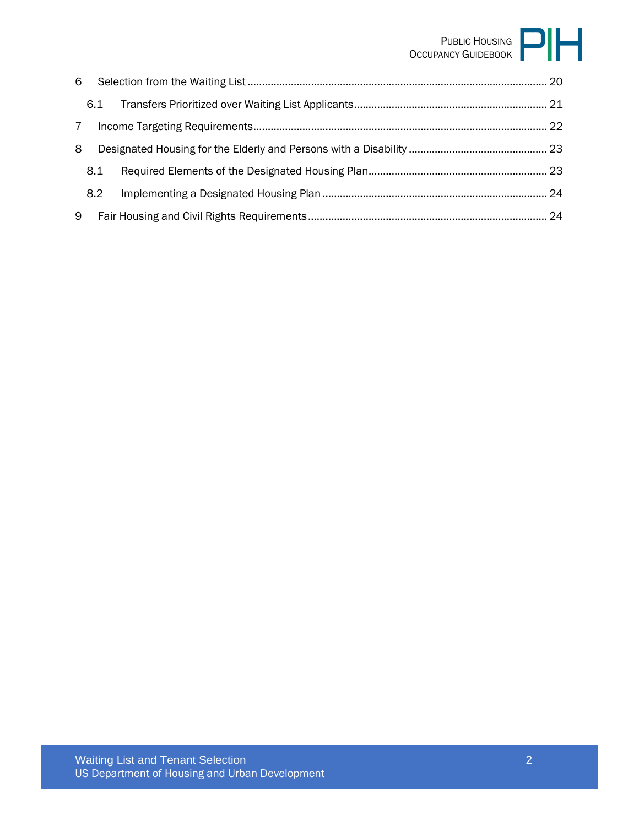# PUBLIC HOUSING OCCUPANCY GUIDEBOOK

| 6 |     |  |
|---|-----|--|
|   | 6.1 |  |
| 7 |     |  |
| 8 |     |  |
|   | 8.1 |  |
|   | 8.2 |  |
| 9 |     |  |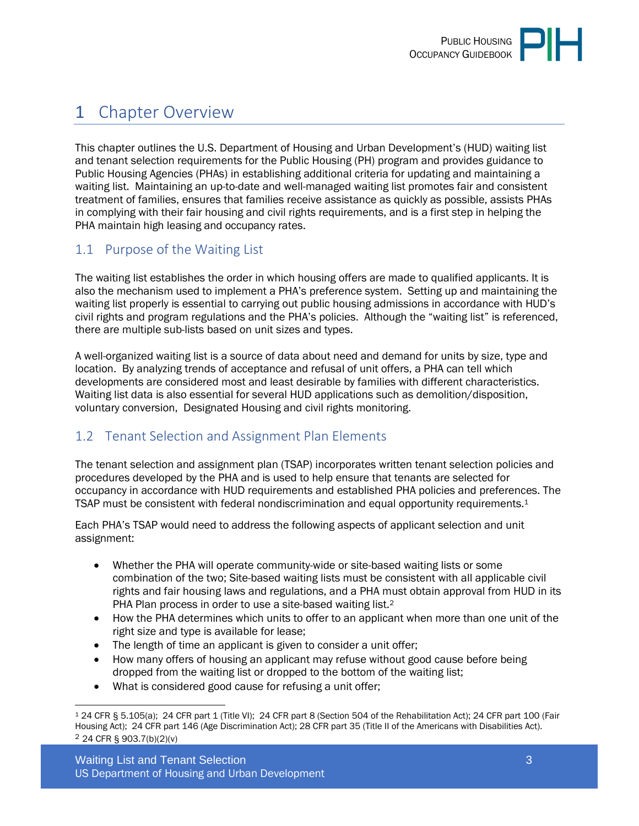

# <span id="page-2-0"></span>1 Chapter Overview

This chapter outlines the U.S. Department of Housing and Urban Development's (HUD) waiting list and tenant selection requirements for the Public Housing (PH) program and provides guidance to Public Housing Agencies (PHAs) in establishing additional criteria for updating and maintaining a waiting list. Maintaining an up-to-date and well-managed waiting list promotes fair and consistent treatment of families, ensures that families receive assistance as quickly as possible, assists PHAs in complying with their fair housing and civil rights requirements, and is a first step in helping the PHA maintain high leasing and occupancy rates.

## <span id="page-2-1"></span>1.1 Purpose of the Waiting List

The waiting list establishes the order in which housing offers are made to qualified applicants. It is also the mechanism used to implement a PHA's preference system. Setting up and maintaining the waiting list properly is essential to carrying out public housing admissions in accordance with HUD's civil rights and program regulations and the PHA's policies. Although the "waiting list" is referenced, there are multiple sub-lists based on unit sizes and types.

A well-organized waiting list is a source of data about need and demand for units by size, type and location. By analyzing trends of acceptance and refusal of unit offers, a PHA can tell which developments are considered most and least desirable by families with different characteristics. Waiting list data is also essential for several HUD applications such as demolition/disposition, voluntary conversion, Designated Housing and civil rights monitoring.

## <span id="page-2-2"></span>1.2 Tenant Selection and Assignment Plan Elements

The tenant selection and assignment plan (TSAP) incorporates written tenant selection policies and procedures developed by the PHA and is used to help ensure that tenants are selected for occupancy in accordance with HUD requirements and established PHA policies and preferences. The TSAP must be consistent with federal nondiscrimination and equal opportunity requirements.<sup>1</sup>

Each PHA's TSAP would need to address the following aspects of applicant selection and unit assignment:

- Whether the PHA will operate community-wide or site-based waiting lists or some combination of the two; Site-based waiting lists must be consistent with all applicable civil rights and fair housing laws and regulations, and a PHA must obtain approval from HUD in its PHA Plan process in order to use a site-based waiting list.<sup>2</sup>
- How the PHA determines which units to offer to an applicant when more than one unit of the right size and type is available for lease;
- The length of time an applicant is given to consider a unit offer;
- How many offers of housing an applicant may refuse without good cause before being dropped from the waiting list or dropped to the bottom of the waiting list;
- What is considered good cause for refusing a unit offer;

<sup>1</sup> 24 CFR § 5.105(a); 24 CFR part 1 (Title VI); 24 CFR part 8 (Section 504 of the Rehabilitation Act); 24 CFR part 100 (Fair Housing Act); 24 CFR part 146 (Age Discrimination Act); 28 CFR part 35 (Title II of the Americans with Disabilities Act). 2 24 CFR § 903.7(b)(2)(v)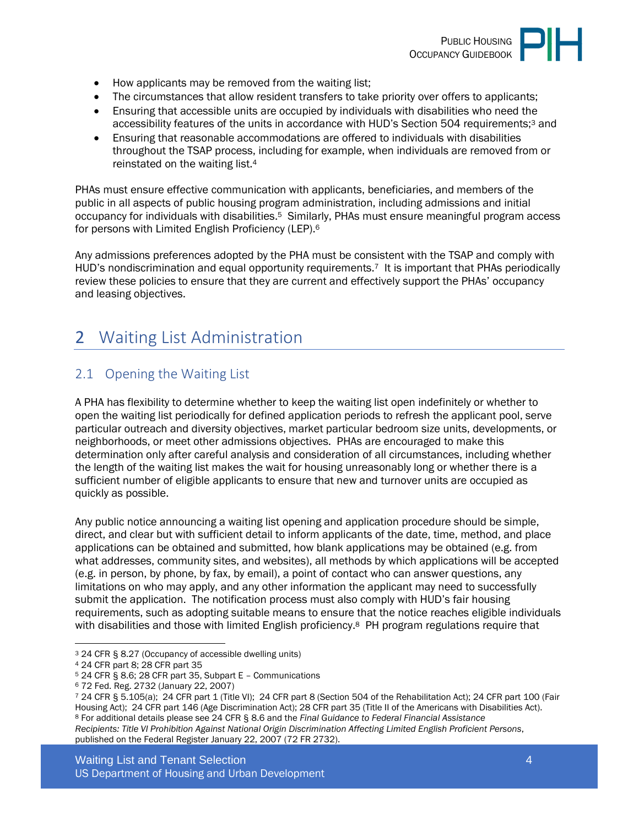

- How applicants may be removed from the waiting list;
- The circumstances that allow resident transfers to take priority over offers to applicants;
- Ensuring that accessible units are occupied by individuals with disabilities who need the accessibility features of the units in accordance with HUD's Section 504 requirements;3 and
- Ensuring that reasonable accommodations are offered to individuals with disabilities throughout the TSAP process, including for example, when individuals are removed from or reinstated on the waiting list.<sup>4</sup>

PHAs must ensure effective communication with applicants, beneficiaries, and members of the public in all aspects of public housing program administration, including admissions and initial occupancy for individuals with disabilities.5 Similarly, PHAs must ensure meaningful program access for persons with Limited English Proficiency (LEP).<sup>6</sup>

Any admissions preferences adopted by the PHA must be consistent with the TSAP and comply with HUD's nondiscrimination and equal opportunity requirements.<sup>7</sup> It is important that PHAs periodically review these policies to ensure that they are current and effectively support the PHAs' occupancy and leasing objectives.

# <span id="page-3-0"></span>2 Waiting List Administration

## <span id="page-3-1"></span>2.1 Opening the Waiting List

A PHA has flexibility to determine whether to keep the waiting list open indefinitely or whether to open the waiting list periodically for defined application periods to refresh the applicant pool, serve particular outreach and diversity objectives, market particular bedroom size units, developments, or neighborhoods, or meet other admissions objectives. PHAs are encouraged to make this determination only after careful analysis and consideration of all circumstances, including whether the length of the waiting list makes the wait for housing unreasonably long or whether there is a sufficient number of eligible applicants to ensure that new and turnover units are occupied as quickly as possible.

Any public notice announcing a waiting list opening and application procedure should be simple, direct, and clear but with sufficient detail to inform applicants of the date, time, method, and place applications can be obtained and submitted, how blank applications may be obtained (e.g. from what addresses, community sites, and websites), all methods by which applications will be accepted (e.g. in person, by phone, by fax, by email), a point of contact who can answer questions, any limitations on who may apply, and any other information the applicant may need to successfully submit the application. The notification process must also comply with HUD's fair housing requirements, such as adopting suitable means to ensure that the notice reaches eligible individuals with disabilities and those with limited English proficiency.<sup>8</sup> PH program regulations require that

<sup>3</sup> 24 CFR § 8.27 (Occupancy of accessible dwelling units)

<sup>4</sup> 24 CFR part 8; 28 CFR part 35

<sup>5</sup> 24 CFR § 8.6; 28 CFR part 35, Subpart E – Communications

<sup>6</sup> 72 Fed. Reg. 2732 (January 22, 2007)

<sup>7</sup> 24 CFR § 5.105(a); 24 CFR part 1 (Title VI); 24 CFR part 8 (Section 504 of the Rehabilitation Act); 24 CFR part 100 (Fair Housing Act); 24 CFR part 146 (Age Discrimination Act); 28 CFR part 35 (Title II of the Americans with Disabilities Act). <sup>8</sup> For additional details please see 24 CFR § 8.6 and the *Final Guidance to Federal Financial Assistance Recipients: Title VI Prohibition Against National Origin Discrimination Affecting Limited English Proficient Persons*, published on the Federal Register January 22, 2007 (72 FR 2732).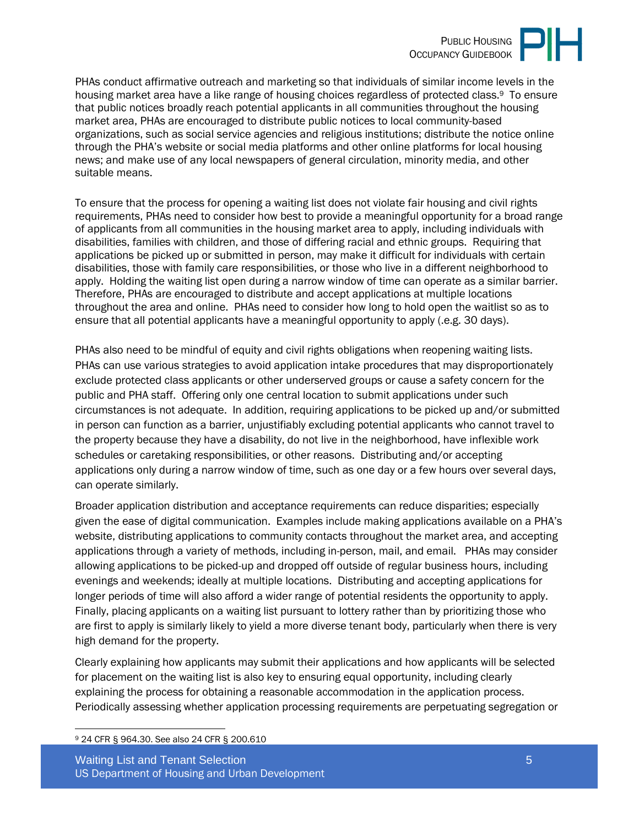

PHAs conduct affirmative outreach and marketing so that individuals of similar income levels in the housing market area have a like range of housing choices regardless of protected class.<sup>9</sup> To ensure that public notices broadly reach potential applicants in all communities throughout the housing market area, PHAs are encouraged to distribute public notices to local community-based organizations, such as social service agencies and religious institutions; distribute the notice online through the PHA's website or social media platforms and other online platforms for local housing news; and make use of any local newspapers of general circulation, minority media, and other suitable means.

To ensure that the process for opening a waiting list does not violate fair housing and civil rights requirements, PHAs need to consider how best to provide a meaningful opportunity for a broad range of applicants from all communities in the housing market area to apply, including individuals with disabilities, families with children, and those of differing racial and ethnic groups. Requiring that applications be picked up or submitted in person, may make it difficult for individuals with certain disabilities, those with family care responsibilities, or those who live in a different neighborhood to apply. Holding the waiting list open during a narrow window of time can operate as a similar barrier. Therefore, PHAs are encouraged to distribute and accept applications at multiple locations throughout the area and online. PHAs need to consider how long to hold open the waitlist so as to ensure that all potential applicants have a meaningful opportunity to apply (.e.g. 30 days).

PHAs also need to be mindful of equity and civil rights obligations when reopening waiting lists. PHAs can use various strategies to avoid application intake procedures that may disproportionately exclude protected class applicants or other underserved groups or cause a safety concern for the public and PHA staff. Offering only one central location to submit applications under such circumstances is not adequate. In addition, requiring applications to be picked up and/or submitted in person can function as a barrier, unjustifiably excluding potential applicants who cannot travel to the property because they have a disability, do not live in the neighborhood, have inflexible work schedules or caretaking responsibilities, or other reasons. Distributing and/or accepting applications only during a narrow window of time, such as one day or a few hours over several days, can operate similarly.

Broader application distribution and acceptance requirements can reduce disparities; especially given the ease of digital communication. Examples include making applications available on a PHA's website, distributing applications to community contacts throughout the market area, and accepting applications through a variety of methods, including in-person, mail, and email. PHAs may consider allowing applications to be picked-up and dropped off outside of regular business hours, including evenings and weekends; ideally at multiple locations. Distributing and accepting applications for longer periods of time will also afford a wider range of potential residents the opportunity to apply. Finally, placing applicants on a waiting list pursuant to lottery rather than by prioritizing those who are first to apply is similarly likely to yield a more diverse tenant body, particularly when there is very high demand for the property.

Clearly explaining how applicants may submit their applications and how applicants will be selected for placement on the waiting list is also key to ensuring equal opportunity, including clearly explaining the process for obtaining a reasonable accommodation in the application process. Periodically assessing whether application processing requirements are perpetuating segregation or

9 24 CFR § 964.30. See also 24 CFR § 200.610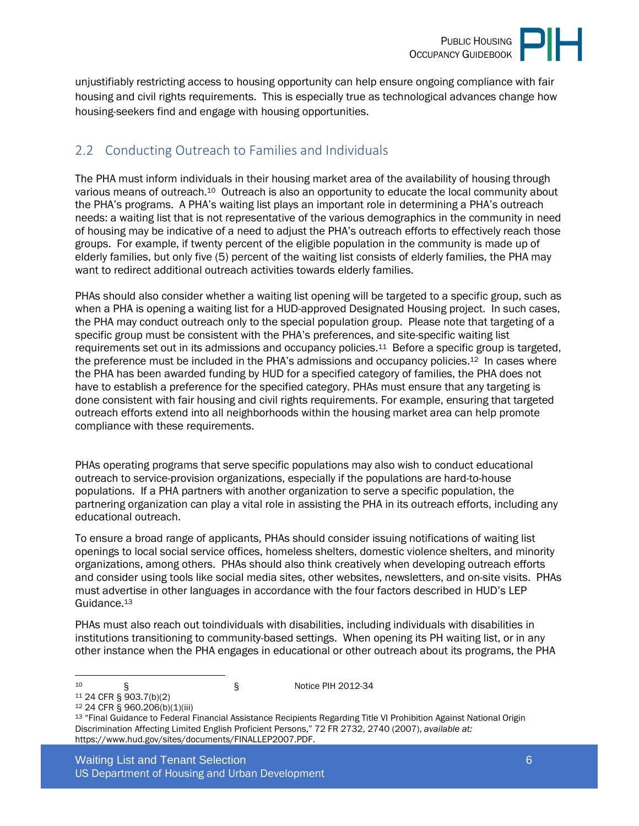

unjustifiably restricting access to housing opportunity can help ensure ongoing compliance with fair housing and civil rights requirements. This is especially true as technological advances change how housing-seekers find and engage with housing opportunities.

# <span id="page-5-0"></span>2.2 Conducting Outreach to Families and Individuals

The PHA must inform individuals in their housing market area of the availability of housing through various means of outreach.10 Outreach is also an opportunity to educate the local community about the PHA's programs. A PHA's waiting list plays an important role in determining a PHA's outreach needs: a waiting list that is not representative of the various demographics in the community in need of housing may be indicative of a need to adjust the PHA's outreach efforts to effectively reach those groups. For example, if twenty percent of the eligible population in the community is made up of elderly families, but only five (5) percent of the waiting list consists of elderly families, the PHA may want to redirect additional outreach activities towards elderly families.

PHAs should also consider whether a waiting list opening will be targeted to a specific group, such as when a PHA is opening a waiting list for a HUD-approved Designated Housing project. In such cases, the PHA may conduct outreach only to the special population group. Please note that targeting of a specific group must be consistent with the PHA's preferences, and site-specific waiting list requirements set out in its admissions and occupancy policies.11 Before a specific group is targeted, the preference must be included in the PHA's admissions and occupancy policies.<sup>12</sup> In cases where the PHA has been awarded funding by HUD for a specified category of families, the PHA does not have to establish a preference for the specified category. PHAs must ensure that any targeting is done consistent with fair housing and civil rights requirements. For example, ensuring that targeted outreach efforts extend into all neighborhoods within the housing market area can help promote compliance with these requirements.

PHAs operating programs that serve specific populations may also wish to conduct educational outreach to service-provision organizations, especially if the populations are hard-to-house populations. If a PHA partners with another organization to serve a specific population, the partnering organization can play a vital role in assisting the PHA in its outreach efforts, including any educational outreach.

To ensure a broad range of applicants, PHAs should consider issuing notifications of waiting list openings to local social service offices, homeless shelters, domestic violence shelters, and minority organizations, among others. PHAs should also think creatively when developing outreach efforts and consider using tools like social media sites, other websites, newsletters, and on-site visits. PHAs must advertise in other languages in accordance with the four factors described in HUD's LEP Guidance.<sup>13</sup>

PHAs must also reach out toindividuals with disabilities, including individuals with disabilities in institutions transitioning to community-based settings. When opening its PH waiting list, or in any other instance when the PHA engages in educational or other outreach about its programs, the PHA

 $10$   $\qquad \qquad$  § 964. Notice PIH 2012-34

<sup>11</sup> 24 CFR § 903.7(b)(2)

<sup>12</sup> 24 CFR § 960.206(b)(1)(iii)

<sup>13</sup> "Final Guidance to Federal Financial Assistance Recipients Regarding Title VI Prohibition Against National Origin Discrimination Affecting Limited English Proficient Persons," 72 FR 2732, 2740 (2007), *available at:* https://www.hud.gov/sites/documents/FINALLEP2007.PDF.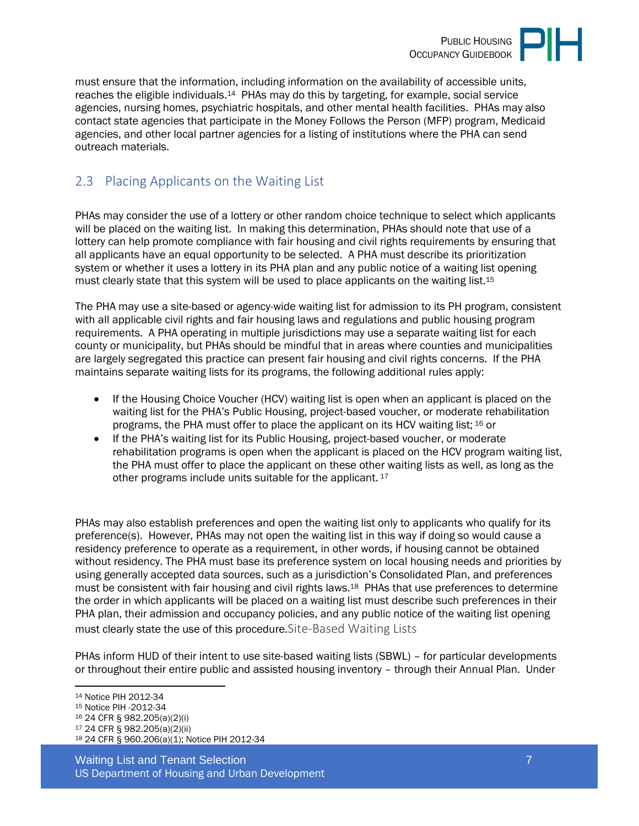

must ensure that the information, including information on the availability of accessible units, reaches the eligible individuals.14 PHAs may do this by targeting, for example, social service agencies, nursing homes, psychiatric hospitals, and other mental health facilities. PHAs may also contact state agencies that participate in the Money Follows the Person (MFP) program, Medicaid agencies, and other local partner agencies for a listing of institutions where the PHA can send outreach materials.

# <span id="page-6-0"></span>2.3 Placing Applicants on the Waiting List

PHAs may consider the use of a lottery or other random choice technique to select which applicants will be placed on the waiting list. In making this determination, PHAs should note that use of a lottery can help promote compliance with fair housing and civil rights requirements by ensuring that all applicants have an equal opportunity to be selected. A PHA must describe its prioritization system or whether it uses a lottery in its PHA plan and any public notice of a waiting list opening must clearly state that this system will be used to place applicants on the waiting list.<sup>15</sup>

The PHA may use a site-based or agency-wide waiting list for admission to its PH program, consistent with all applicable civil rights and fair housing laws and regulations and public housing program requirements. A PHA operating in multiple jurisdictions may use a separate waiting list for each county or municipality, but PHAs should be mindful that in areas where counties and municipalities are largely segregated this practice can present fair housing and civil rights concerns. If the PHA maintains separate waiting lists for its programs, the following additional rules apply:

- If the Housing Choice Voucher (HCV) waiting list is open when an applicant is placed on the waiting list for the PHA's Public Housing, project-based voucher, or moderate rehabilitation programs, the PHA must offer to place the applicant on its HCV waiting list; 16 or
- If the PHA's waiting list for its Public Housing, project-based voucher, or moderate rehabilitation programs is open when the applicant is placed on the HCV program waiting list, the PHA must offer to place the applicant on these other waiting lists as well, as long as the other programs include units suitable for the applicant.<sup>17</sup>

PHAs may also establish preferences and open the waiting list only to applicants who qualify for its preference(s). However, PHAs may not open the waiting list in this way if doing so would cause a residency preference to operate as a requirement, in other words, if housing cannot be obtained without residency. The PHA must base its preference system on local housing needs and priorities by using generally accepted data sources, such as a jurisdiction's Consolidated Plan, and preferences must be consistent with fair housing and civil rights laws.18 PHAs that use preferences to determine the order in which applicants will be placed on a waiting list must describe such preferences in their PHA plan, their admission and occupancy policies, and any public notice of the waiting list opening must clearly state the use of this procedure.Site-Based Waiting Lists

PHAs inform HUD of their intent to use site-based waiting lists (SBWL) – for particular developments or throughout their entire public and assisted housing inventory – through their Annual Plan. Under

Waiting List and Tenant Selection **7** *T* US Department of Housing and Urban Development

<sup>14</sup> Notice PIH 2012-34 <sup>15</sup> Notice PIH -2012-34 <sup>16</sup> 24 CFR § 982.205(a)(2)(i) <sup>17</sup> 24 CFR § 982.205(a)(2)(ii) 18 24 CFR § 960.206(a)(1); Notice PIH 2012-34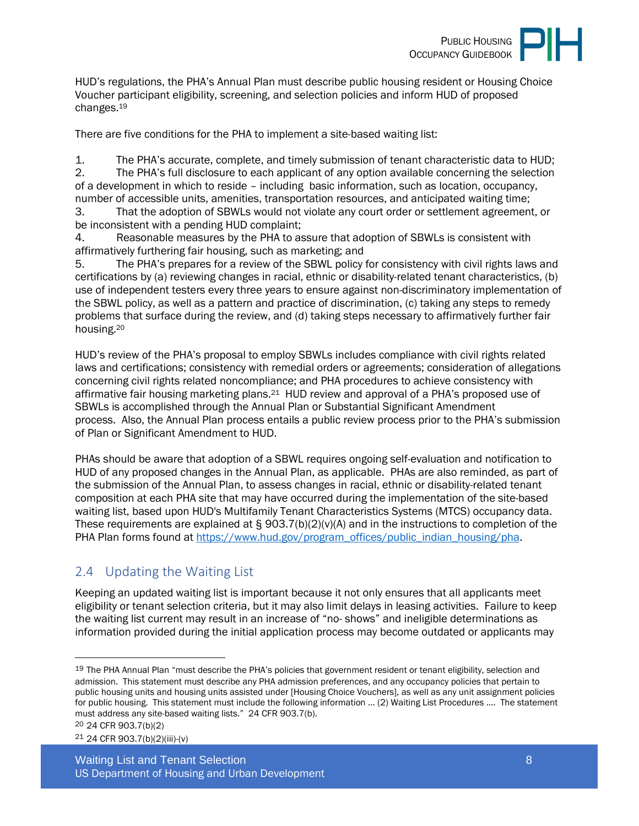

HUD's regulations, the PHA's Annual Plan must describe public housing resident or Housing Choice Voucher participant eligibility, screening, and selection policies and inform HUD of proposed changes.<sup>19</sup>

There are five conditions for the PHA to implement a site-based waiting list:

1. The PHA's accurate, complete, and timely submission of tenant characteristic data to HUD; 2. The PHA's full disclosure to each applicant of any option available concerning the selection of a development in which to reside – including basic information, such as location, occupancy, number of accessible units, amenities, transportation resources, and anticipated waiting time;

3. That the adoption of SBWLs would not violate any court order or settlement agreement, or be inconsistent with a pending HUD complaint;

4. Reasonable measures by the PHA to assure that adoption of SBWLs is consistent with affirmatively furthering fair housing, such as marketing; and

5. The PHA's prepares for a review of the SBWL policy for consistency with civil rights laws and certifications by (a) reviewing changes in racial, ethnic or disability-related tenant characteristics, (b) use of independent testers every three years to ensure against non-discriminatory implementation of the SBWL policy, as well as a pattern and practice of discrimination, (c) taking any steps to remedy problems that surface during the review, and (d) taking steps necessary to affirmatively further fair housing.<sup>20</sup>

HUD's review of the PHA's proposal to employ SBWLs includes compliance with civil rights related laws and certifications; consistency with remedial orders or agreements; consideration of allegations concerning civil rights related noncompliance; and PHA procedures to achieve consistency with affirmative fair housing marketing plans.21 HUD review and approval of a PHA's proposed use of SBWLs is accomplished through the Annual Plan or Substantial Significant Amendment process. Also, the Annual Plan process entails a public review process prior to the PHA's submission of Plan or Significant Amendment to HUD.

PHAs should be aware that adoption of a SBWL requires ongoing self-evaluation and notification to HUD of any proposed changes in the Annual Plan, as applicable. PHAs are also reminded, as part of the submission of the Annual Plan, to assess changes in racial, ethnic or disability-related tenant composition at each PHA site that may have occurred during the implementation of the site-based waiting list, based upon HUD's Multifamily Tenant Characteristics Systems (MTCS) occupancy data. These requirements are explained at  $\S 903.7(b)(2)(v)(A)$  and in the instructions to completion of the PHA Plan forms found at [https://www.hud.gov/program\\_offices/public\\_indian\\_housing/pha.](https://www.hud.gov/program_offices/public_indian_housing/pha)

## <span id="page-7-0"></span>2.4 Updating the Waiting List

Keeping an updated waiting list is important because it not only ensures that all applicants meet eligibility or tenant selection criteria, but it may also limit delays in leasing activities. Failure to keep the waiting list current may result in an increase of "no- shows" and ineligible determinations as information provided during the initial application process may become outdated or applicants may

20 24 CFR 903.7(b)(2)

21 24 CFR 903.7(b)(2)(iii)-(v)

<sup>&</sup>lt;sup>19</sup> The PHA Annual Plan "must describe the PHA's policies that government resident or tenant eligibility, selection and admission. This statement must describe any PHA admission preferences, and any occupancy policies that pertain to public housing units and housing units assisted under [Housing Choice Vouchers], as well as any unit assignment policies for public housing. This statement must include the following information … (2) Waiting List Procedures …. The statement must address any site-based waiting lists." 24 CFR 903.7(b).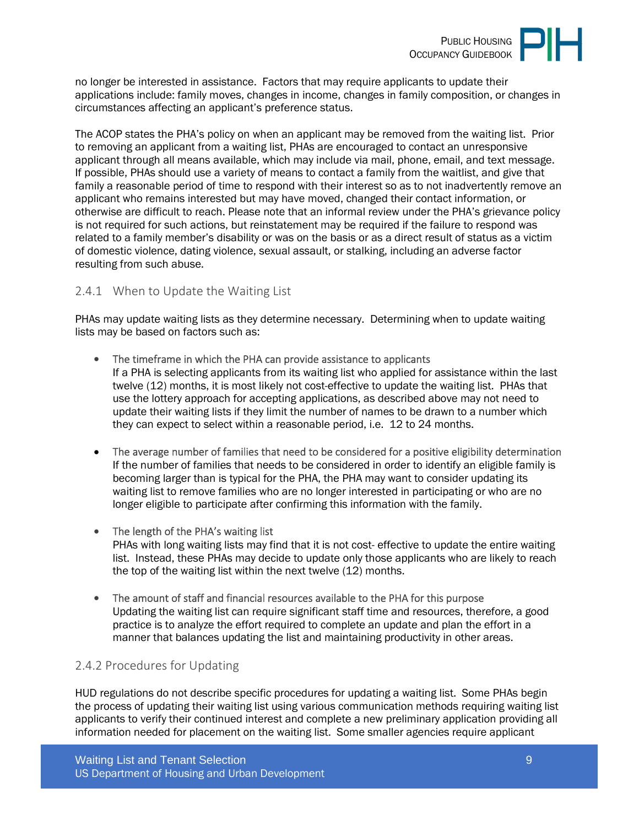

no longer be interested in assistance. Factors that may require applicants to update their applications include: family moves, changes in income, changes in family composition, or changes in circumstances affecting an applicant's preference status.

The ACOP states the PHA's policy on when an applicant may be removed from the waiting list. Prior to removing an applicant from a waiting list, PHAs are encouraged to contact an unresponsive applicant through all means available, which may include via mail, phone, email, and text message. If possible, PHAs should use a variety of means to contact a family from the waitlist, and give that family a reasonable period of time to respond with their interest so as to not inadvertently remove an applicant who remains interested but may have moved, changed their contact information, or otherwise are difficult to reach. Please note that an informal review under the PHA's grievance policy is not required for such actions, but reinstatement may be required if the failure to respond was related to a family member's disability or was on the basis or as a direct result of status as a victim of domestic violence, dating violence, sexual assault, or stalking, including an adverse factor resulting from such abuse.

#### <span id="page-8-0"></span>2.4.1 When to Update the Waiting List

PHAs may update waiting lists as they determine necessary. Determining when to update waiting lists may be based on factors such as:

- The timeframe in which the PHA can provide assistance to applicants If a PHA is selecting applicants from its waiting list who applied for assistance within the last twelve (12) months, it is most likely not cost-effective to update the waiting list. PHAs that use the lottery approach for accepting applications, as described above may not need to update their waiting lists if they limit the number of names to be drawn to a number which they can expect to select within a reasonable period, i.e. 12 to 24 months.
- The average number of families that need to be considered for a positive eligibility determination If the number of families that needs to be considered in order to identify an eligible family is becoming larger than is typical for the PHA, the PHA may want to consider updating its waiting list to remove families who are no longer interested in participating or who are no longer eligible to participate after confirming this information with the family.
- The length of the PHA's waiting list PHAs with long waiting lists may find that it is not cost- effective to update the entire waiting list. Instead, these PHAs may decide to update only those applicants who are likely to reach the top of the waiting list within the next twelve (12) months.
- The amount of staff and financial resources available to the PHA for this purpose Updating the waiting list can require significant staff time and resources, therefore, a good practice is to analyze the effort required to complete an update and plan the effort in a manner that balances updating the list and maintaining productivity in other areas.

#### <span id="page-8-1"></span>2.4.2 Procedures for Updating

HUD regulations do not describe specific procedures for updating a waiting list. Some PHAs begin the process of updating their waiting list using various communication methods requiring waiting list applicants to verify their continued interest and complete a new preliminary application providing all information needed for placement on the waiting list. Some smaller agencies require applicant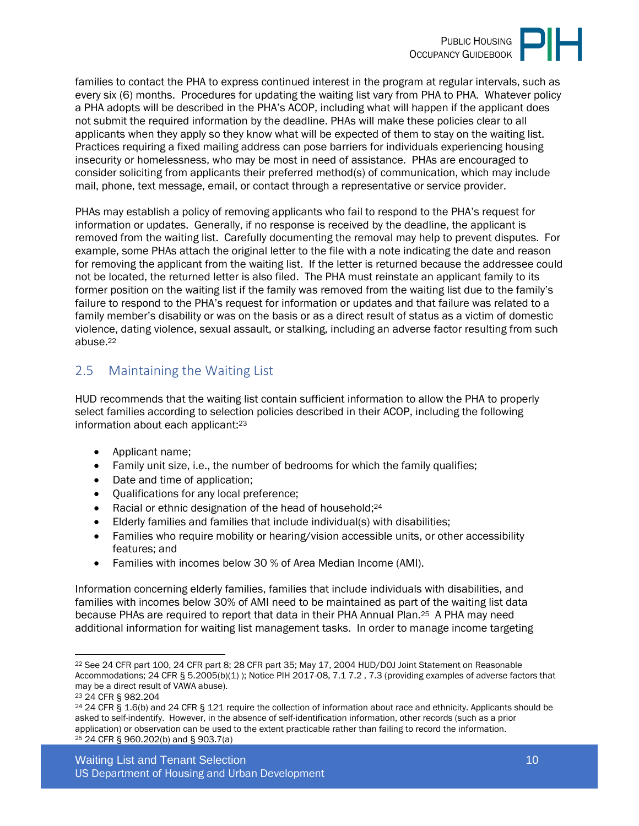

families to contact the PHA to express continued interest in the program at regular intervals, such as every six (6) months. Procedures for updating the waiting list vary from PHA to PHA. Whatever policy a PHA adopts will be described in the PHA's ACOP, including what will happen if the applicant does not submit the required information by the deadline. PHAs will make these policies clear to all applicants when they apply so they know what will be expected of them to stay on the waiting list. Practices requiring a fixed mailing address can pose barriers for individuals experiencing housing insecurity or homelessness, who may be most in need of assistance. PHAs are encouraged to consider soliciting from applicants their preferred method(s) of communication, which may include mail, phone, text message, email, or contact through a representative or service provider.

PHAs may establish a policy of removing applicants who fail to respond to the PHA's request for information or updates. Generally, if no response is received by the deadline, the applicant is removed from the waiting list. Carefully documenting the removal may help to prevent disputes. For example, some PHAs attach the original letter to the file with a note indicating the date and reason for removing the applicant from the waiting list. If the letter is returned because the addressee could not be located, the returned letter is also filed. The PHA must reinstate an applicant family to its former position on the waiting list if the family was removed from the waiting list due to the family's failure to respond to the PHA's request for information or updates and that failure was related to a family member's disability or was on the basis or as a direct result of status as a victim of domestic violence, dating violence, sexual assault, or stalking, including an adverse factor resulting from such abuse.<sup>22</sup>

## <span id="page-9-0"></span>2.5 Maintaining the Waiting List

HUD recommends that the waiting list contain sufficient information to allow the PHA to properly select families according to selection policies described in their ACOP, including the following information about each applicant:<sup>23</sup>

- Applicant name;
- Family unit size, i.e., the number of bedrooms for which the family qualifies;
- Date and time of application;
- Qualifications for any local preference;
- Racial or ethnic designation of the head of household;<sup>24</sup>
- Elderly families and families that include individual(s) with disabilities;
- Families who require mobility or hearing/vision accessible units, or other accessibility features; and
- Families with incomes below 30 % of Area Median Income (AMI).

Information concerning elderly families, families that include individuals with disabilities, and families with incomes below 30% of AMI need to be maintained as part of the waiting list data because PHAs are required to report that data in their PHA Annual Plan.25 A PHA may need additional information for waiting list management tasks. In order to manage income targeting

<sup>22</sup> See 24 CFR part 100, 24 CFR part 8; 28 CFR part 35; May 17, 2004 HUD/DOJ Joint Statement on Reasonable Accommodations; 24 CFR § 5.2005(b)(1) ); Notice PIH 2017-08, 7.1 7.2 , 7.3 (providing examples of adverse factors that may be a direct result of VAWA abuse).

<sup>23</sup> 24 CFR § 982.204

<sup>24</sup> 24 CFR § 1.6(b) and 24 CFR § 121 require the collection of information about race and ethnicity. Applicants should be asked to self-indentify. However, in the absence of self-identification information, other records (such as a prior application) or observation can be used to the extent practicable rather than failing to record the information. 25 24 CFR § 960.202(b) and § 903.7(a)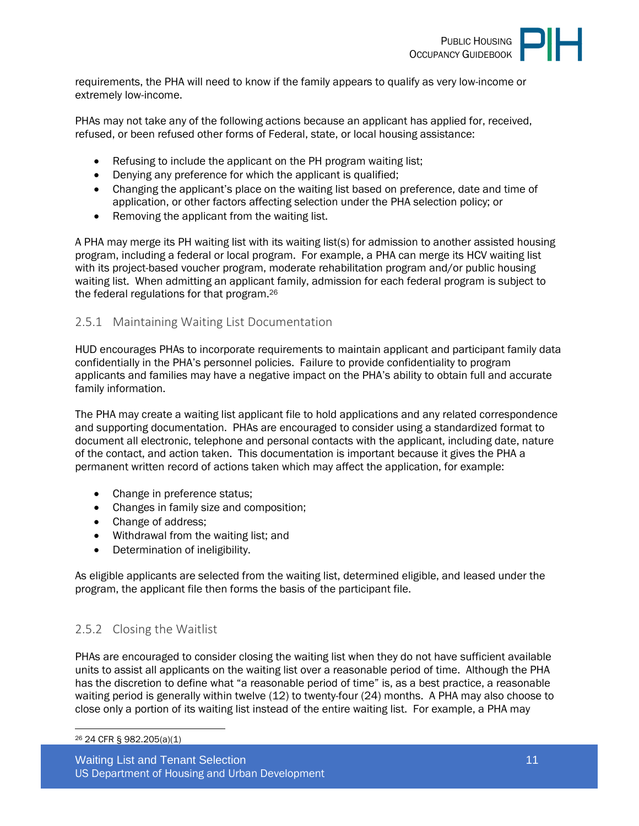

requirements, the PHA will need to know if the family appears to qualify as very low-income or extremely low-income.

PHAs may not take any of the following actions because an applicant has applied for, received, refused, or been refused other forms of Federal, state, or local housing assistance:

- Refusing to include the applicant on the PH program waiting list;
- Denying any preference for which the applicant is qualified;
- Changing the applicant's place on the waiting list based on preference, date and time of application, or other factors affecting selection under the PHA selection policy; or
- Removing the applicant from the waiting list.

A PHA may merge its PH waiting list with its waiting list(s) for admission to another assisted housing program, including a federal or local program. For example, a PHA can merge its HCV waiting list with its project-based voucher program, moderate rehabilitation program and/or public housing waiting list. When admitting an applicant family, admission for each federal program is subject to the federal regulations for that program.<sup>26</sup>

#### <span id="page-10-0"></span>2.5.1 Maintaining Waiting List Documentation

HUD encourages PHAs to incorporate requirements to maintain applicant and participant family data confidentially in the PHA's personnel policies. Failure to provide confidentiality to program applicants and families may have a negative impact on the PHA's ability to obtain full and accurate family information.

The PHA may create a waiting list applicant file to hold applications and any related correspondence and supporting documentation. PHAs are encouraged to consider using a standardized format to document all electronic, telephone and personal contacts with the applicant, including date, nature of the contact, and action taken. This documentation is important because it gives the PHA a permanent written record of actions taken which may affect the application, for example:

- Change in preference status;
- Changes in family size and composition;
- Change of address;
- Withdrawal from the waiting list; and
- Determination of ineligibility.

As eligible applicants are selected from the waiting list, determined eligible, and leased under the program, the applicant file then forms the basis of the participant file.

#### <span id="page-10-1"></span>2.5.2 Closing the Waitlist

PHAs are encouraged to consider closing the waiting list when they do not have sufficient available units to assist all applicants on the waiting list over a reasonable period of time. Although the PHA has the discretion to define what "a reasonable period of time" is, as a best practice, a reasonable waiting period is generally within twelve (12) to twenty-four (24) months. A PHA may also choose to close only a portion of its waiting list instead of the entire waiting list. For example, a PHA may

<sup>26</sup> 24 CFR § 982.205(a)(1)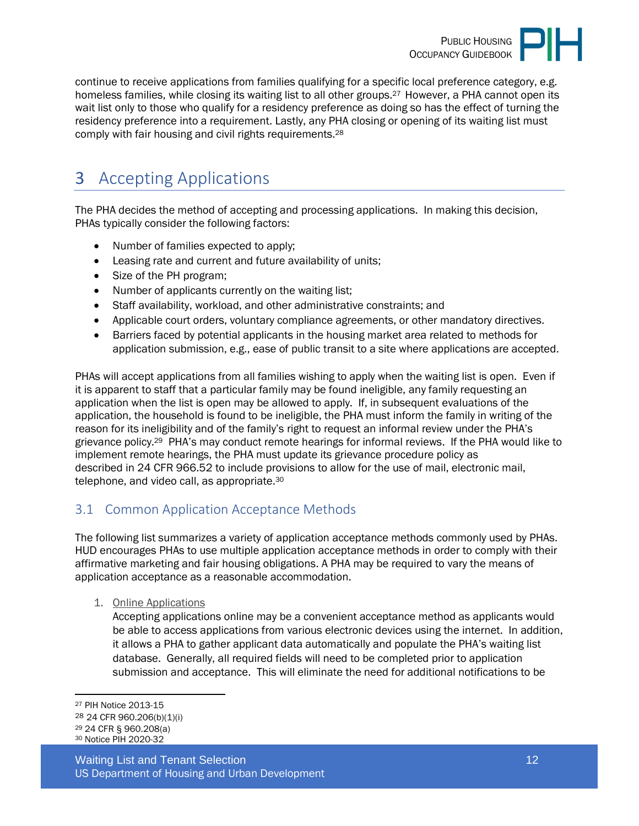

continue to receive applications from families qualifying for a specific local preference category, e.g. homeless families, while closing its waiting list to all other groups.<sup>27</sup> However, a PHA cannot open its wait list only to those who qualify for a residency preference as doing so has the effect of turning the residency preference into a requirement. Lastly, any PHA closing or opening of its waiting list must comply with fair housing and civil rights requirements.<sup>28</sup>

# <span id="page-11-0"></span>3 Accepting Applications

The PHA decides the method of accepting and processing applications. In making this decision, PHAs typically consider the following factors:

- Number of families expected to apply;
- Leasing rate and current and future availability of units;
- Size of the PH program;
- Number of applicants currently on the waiting list;
- Staff availability, workload, and other administrative constraints; and
- Applicable court orders, voluntary compliance agreements, or other mandatory directives.
- Barriers faced by potential applicants in the housing market area related to methods for application submission, e.g., ease of public transit to a site where applications are accepted.

PHAs will accept applications from all families wishing to apply when the waiting list is open. Even if it is apparent to staff that a particular family may be found ineligible, any family requesting an application when the list is open may be allowed to apply. If, in subsequent evaluations of the application, the household is found to be ineligible, the PHA must inform the family in writing of the reason for its ineligibility and of the family's right to request an informal review under the PHA's grievance policy.29 PHA's may conduct remote hearings for informal reviews. If the PHA would like to implement remote hearings, the PHA must update its grievance procedure policy as described in 24 CFR 966.52 to include provisions to allow for the use of mail, electronic mail, telephone, and video call, as appropriate.<sup>30</sup>

## <span id="page-11-1"></span>3.1 Common Application Acceptance Methods

The following list summarizes a variety of application acceptance methods commonly used by PHAs. HUD encourages PHAs to use multiple application acceptance methods in order to comply with their affirmative marketing and fair housing obligations. A PHA may be required to vary the means of application acceptance as a reasonable accommodation.

1. Online Applications

Accepting applications online may be a convenient acceptance method as applicants would be able to access applications from various electronic devices using the internet. In addition, it allows a PHA to gather applicant data automatically and populate the PHA's waiting list database. Generally, all required fields will need to be completed prior to application submission and acceptance. This will eliminate the need for additional notifications to be

Waiting List and Tenant Selection 12 and 12 and 12 and 12 and 12 and 12 and 12 and 12 and 12 and 12 and 12 and 12 and 12 and 12 and 12 and 12 and 12 and 12 and 12 and 12 and 12 and 12 and 12 and 12 and 12 and 12 and 12 and US Department of Housing and Urban Development

<sup>27</sup> PIH Notice 2013-15

<sup>28</sup> 24 CFR 960.206(b)(1)(i)

<sup>29</sup> 24 CFR § 960.208(a) 30 Notice PIH 2020-32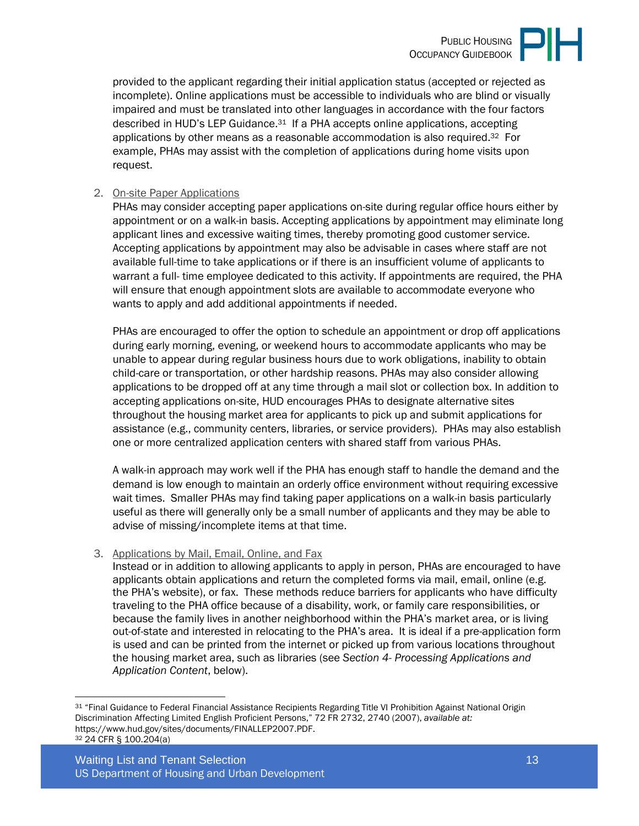provided to the applicant regarding their initial application status (accepted or rejected as incomplete). Online applications must be accessible to individuals who are blind or visually impaired and must be translated into other languages in accordance with the four factors described in HUD's LEP Guidance.31 If a PHA accepts online applications, accepting applications by other means as a reasonable accommodation is also required.32 For example, PHAs may assist with the completion of applications during home visits upon request.

#### 2. On-site Paper Applications

PHAs may consider accepting paper applications on-site during regular office hours either by appointment or on a walk-in basis. Accepting applications by appointment may eliminate long applicant lines and excessive waiting times, thereby promoting good customer service. Accepting applications by appointment may also be advisable in cases where staff are not available full-time to take applications or if there is an insufficient volume of applicants to warrant a full- time employee dedicated to this activity. If appointments are required, the PHA will ensure that enough appointment slots are available to accommodate everyone who wants to apply and add additional appointments if needed.

PHAs are encouraged to offer the option to schedule an appointment or drop off applications during early morning, evening, or weekend hours to accommodate applicants who may be unable to appear during regular business hours due to work obligations, inability to obtain child-care or transportation, or other hardship reasons. PHAs may also consider allowing applications to be dropped off at any time through a mail slot or collection box. In addition to accepting applications on-site, HUD encourages PHAs to designate alternative sites throughout the housing market area for applicants to pick up and submit applications for assistance (e.g., community centers, libraries, or service providers). PHAs may also establish one or more centralized application centers with shared staff from various PHAs.

A walk-in approach may work well if the PHA has enough staff to handle the demand and the demand is low enough to maintain an orderly office environment without requiring excessive wait times. Smaller PHAs may find taking paper applications on a walk-in basis particularly useful as there will generally only be a small number of applicants and they may be able to advise of missing/incomplete items at that time.

#### 3. Applications by Mail, Email, Online, and Fax

Instead or in addition to allowing applicants to apply in person, PHAs are encouraged to have applicants obtain applications and return the completed forms via mail, email, online (e.g. the PHA's website), or fax. These methods reduce barriers for applicants who have difficulty traveling to the PHA office because of a disability, work, or family care responsibilities, or because the family lives in another neighborhood within the PHA's market area, or is living out-of-state and interested in relocating to the PHA's area. It is ideal if a pre-application form is used and can be printed from the internet or picked up from various locations throughout the housing market area, such as libraries (see *Section 4- Processing Applications and Application Content*, below).

<sup>31</sup> "Final Guidance to Federal Financial Assistance Recipients Regarding Title VI Prohibition Against National Origin Discrimination Affecting Limited English Proficient Persons," 72 FR 2732, 2740 (2007), *available at:* https://www.hud.gov/sites/documents/FINALLEP2007.PDF. 32 24 CFR § 100.204(a)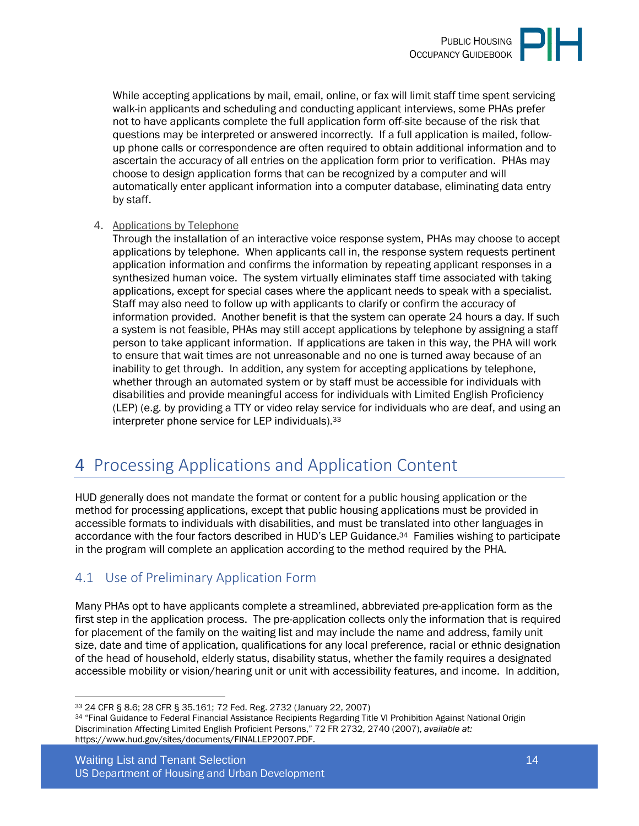While accepting applications by mail, email, online, or fax will limit staff time spent servicing walk-in applicants and scheduling and conducting applicant interviews, some PHAs prefer not to have applicants complete the full application form off-site because of the risk that questions may be interpreted or answered incorrectly. If a full application is mailed, followup phone calls or correspondence are often required to obtain additional information and to ascertain the accuracy of all entries on the application form prior to verification. PHAs may choose to design application forms that can be recognized by a computer and will automatically enter applicant information into a computer database, eliminating data entry by staff.

#### 4. Applications by Telephone

Through the installation of an interactive voice response system, PHAs may choose to accept applications by telephone. When applicants call in, the response system requests pertinent application information and confirms the information by repeating applicant responses in a synthesized human voice. The system virtually eliminates staff time associated with taking applications, except for special cases where the applicant needs to speak with a specialist. Staff may also need to follow up with applicants to clarify or confirm the accuracy of information provided. Another benefit is that the system can operate 24 hours a day. If such a system is not feasible, PHAs may still accept applications by telephone by assigning a staff person to take applicant information. If applications are taken in this way, the PHA will work to ensure that wait times are not unreasonable and no one is turned away because of an inability to get through. In addition, any system for accepting applications by telephone, whether through an automated system or by staff must be accessible for individuals with disabilities and provide meaningful access for individuals with Limited English Proficiency (LEP) (e.g. by providing a TTY or video relay service for individuals who are deaf, and using an interpreter phone service for LEP individuals).<sup>33</sup>

# <span id="page-13-0"></span>4 Processing Applications and Application Content

HUD generally does not mandate the format or content for a public housing application or the method for processing applications, except that public housing applications must be provided in accessible formats to individuals with disabilities, and must be translated into other languages in accordance with the four factors described in HUD's LEP Guidance.34 Families wishing to participate in the program will complete an application according to the method required by the PHA.

## <span id="page-13-1"></span>4.1 Use of Preliminary Application Form

Many PHAs opt to have applicants complete a streamlined, abbreviated pre-application form as the first step in the application process. The pre-application collects only the information that is required for placement of the family on the waiting list and may include the name and address, family unit size, date and time of application, qualifications for any local preference, racial or ethnic designation of the head of household, elderly status, disability status, whether the family requires a designated accessible mobility or vision/hearing unit or unit with accessibility features, and income. In addition,

<sup>33</sup> 24 CFR § 8.6; 28 CFR § 35.161; 72 Fed. Reg. 2732 (January 22, 2007)

<sup>34 &</sup>quot;Final Guidance to Federal Financial Assistance Recipients Regarding Title VI Prohibition Against National Origin Discrimination Affecting Limited English Proficient Persons," 72 FR 2732, 2740 (2007), *available at:* https://www.hud.gov/sites/documents/FINALLEP2007.PDF.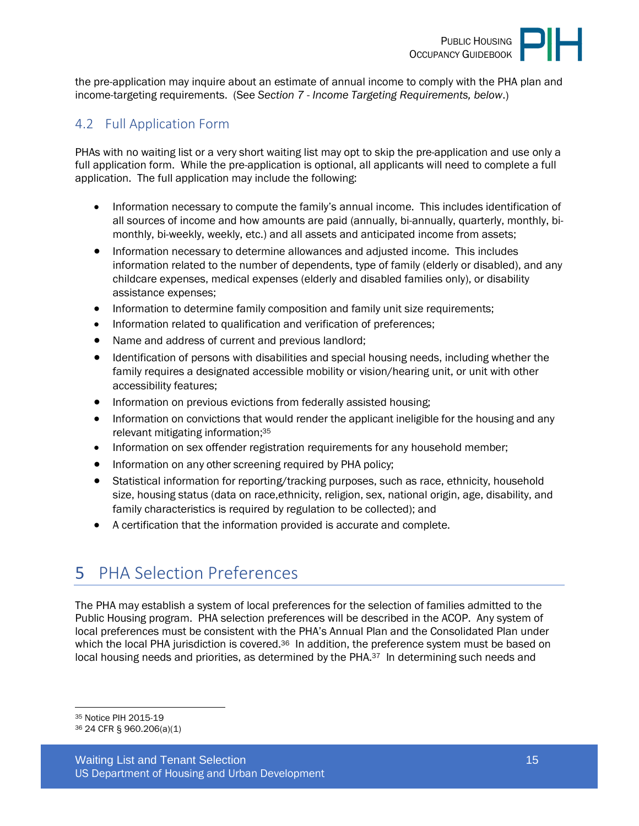

the pre-application may inquire about an estimate of annual income to comply with the PHA plan and income-targeting requirements. (See *Section 7 - Income Targeting Requirements, below*.)

#### <span id="page-14-0"></span>4.2 Full Application Form

PHAs with no waiting list or a very short waiting list may opt to skip the pre-application and use only a full application form. While the pre-application is optional, all applicants will need to complete a full application. The full application may include the following:

- Information necessary to compute the family's annual income. This includes identification of all sources of income and how amounts are paid (annually, bi-annually, quarterly, monthly, bimonthly, bi-weekly, weekly, etc.) and all assets and anticipated income from assets;
- Information necessary to determine allowances and adjusted income. This includes information related to the number of dependents, type of family (elderly or disabled), and any childcare expenses, medical expenses (elderly and disabled families only), or disability assistance expenses;
- Information to determine family composition and family unit size requirements;
- Information related to qualification and verification of preferences;
- Name and address of current and previous landlord;
- Identification of persons with disabilities and special housing needs, including whether the family requires a designated accessible mobility or vision/hearing unit, or unit with other accessibility features;
- Information on previous evictions from federally assisted housing;
- Information on convictions that would render the applicant ineligible for the housing and any relevant mitigating information;<sup>35</sup>
- Information on sex offender registration requirements for any household member;
- Information on any other screening required by PHA policy;
- Statistical information for reporting/tracking purposes, such as race, ethnicity, household size, housing status (data on race,ethnicity, religion, sex, national origin, age, disability, and family characteristics is required by regulation to be collected); and
- A certification that the information provided is accurate and complete.

# <span id="page-14-1"></span>5 PHA Selection Preferences

The PHA may establish a system of local preferences for the selection of families admitted to the Public Housing program. PHA selection preferences will be described in the ACOP. Any system of local preferences must be consistent with the PHA's Annual Plan and the Consolidated Plan under which the local PHA jurisdiction is covered.<sup>36</sup> In addition, the preference system must be based on local housing needs and priorities, as determined by the PHA.<sup>37</sup> In determining such needs and

<sup>35</sup> Notice PIH 2015-19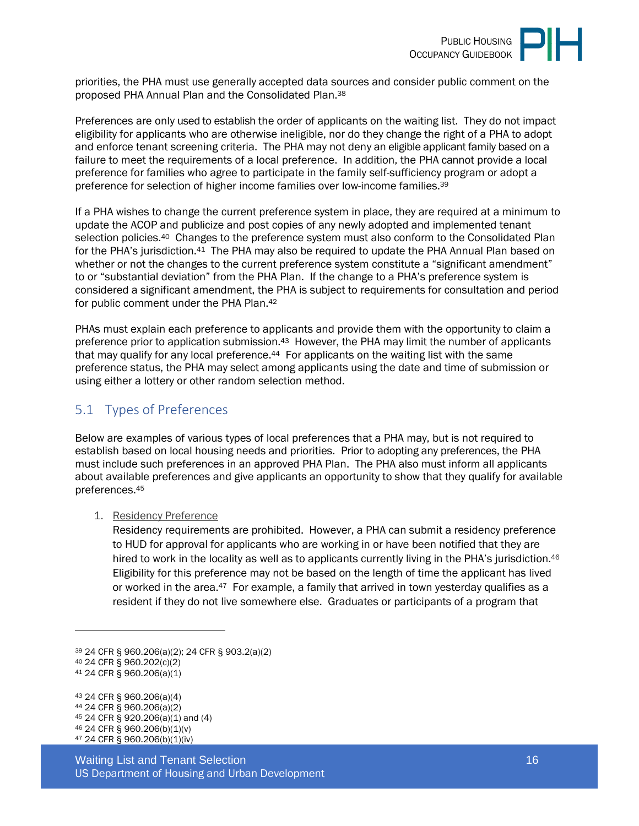

priorities, the PHA must use generally accepted data sources and consider public comment on the proposed PHA Annual Plan and the Consolidated Plan.<sup>38</sup>

Preferences are only used to establish the order of applicants on the waiting list. They do not impact eligibility for applicants who are otherwise ineligible, nor do they change the right of a PHA to adopt and enforce tenant screening criteria. The PHA may not deny an eligible applicant family based on a failure to meet the requirements of a local preference. In addition, the PHA cannot provide a local preference for families who agree to participate in the family self-sufficiency program or adopt a preference for selection of higher income families over low-income families.<sup>39</sup>

If a PHA wishes to change the current preference system in place, they are required at a minimum to update the ACOP and publicize and post copies of any newly adopted and implemented tenant selection policies.<sup>40</sup> Changes to the preference system must also conform to the Consolidated Plan for the PHA's jurisdiction.<sup>41</sup> The PHA may also be required to update the PHA Annual Plan based on whether or not the changes to the current preference system constitute a "significant amendment" to or "substantial deviation" from the PHA Plan. If the change to a PHA's preference system is considered a significant amendment, the PHA is subject to requirements for consultation and period for public comment under the PHA Plan.<sup>42</sup>

PHAs must explain each preference to applicants and provide them with the opportunity to claim a preference prior to application submission.<sup>43</sup> However, the PHA may limit the number of applicants that may qualify for any local preference.<sup>44</sup> For applicants on the waiting list with the same preference status, the PHA may select among applicants using the date and time of submission or using either a lottery or other random selection method.

## <span id="page-15-0"></span>5.1 Types of Preferences

Below are examples of various types of local preferences that a PHA may, but is not required to establish based on local housing needs and priorities. Prior to adopting any preferences, the PHA must include such preferences in an approved PHA Plan. The PHA also must inform all applicants about available preferences and give applicants an opportunity to show that they qualify for available preferences.<sup>45</sup>

1. Residency Preference

Residency requirements are prohibited. However, a PHA can submit a residency preference to HUD for approval for applicants who are working in or have been notified that they are hired to work in the locality as well as to applicants currently living in the PHA's jurisdiction.<sup>46</sup> Eligibility for this preference may not be based on the length of time the applicant has lived or worked in the area.<sup>47</sup> For example, a family that arrived in town yesterday qualifies as a resident if they do not live somewhere else. Graduates or participants of a program that

 24 CFR § 960.206(a)(4) 24 CFR § 960.206(a)(2) 24 CFR § 920.206(a)(1) and (4) 24 CFR § 960.206(b)(1)(v) 24 CFR § 960.206(b)(1)(iv)

Waiting List and Tenant Selection 16 November 2014 16 November 2014 16 US Department of Housing and Urban Development

<sup>39</sup> 24 CFR § 960.206(a)(2); 24 CFR § 903.2(a)(2) <sup>40</sup> 24 CFR § 960.202(c)(2)

<sup>41</sup> 24 CFR § 960.206(a)(1)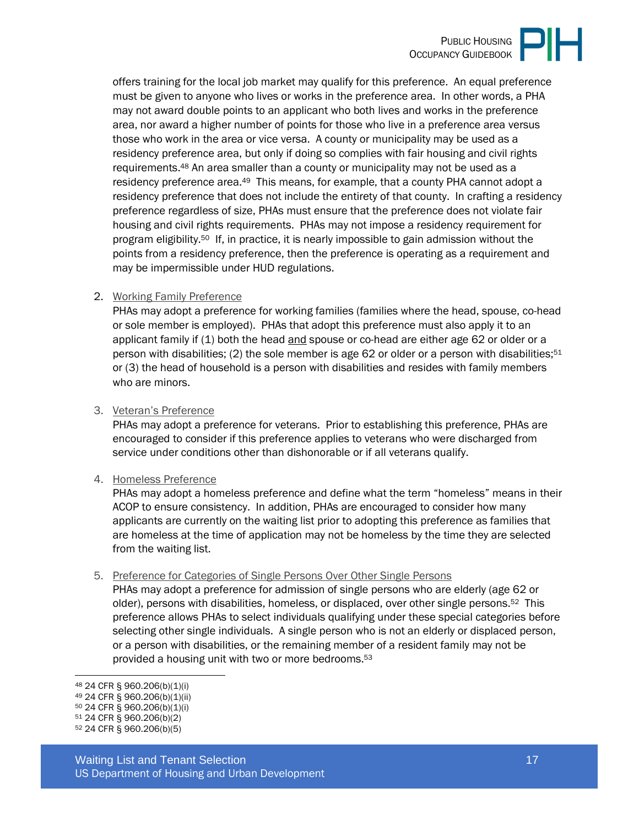offers training for the local job market may qualify for this preference. An equal preference must be given to anyone who lives or works in the preference area. In other words, a PHA may not award double points to an applicant who both lives and works in the preference area, nor award a higher number of points for those who live in a preference area versus those who work in the area or vice versa. A county or municipality may be used as a residency preference area, but only if doing so complies with fair housing and civil rights requirements.48 An area smaller than a county or municipality may not be used as a residency preference area.<sup>49</sup> This means, for example, that a county PHA cannot adopt a residency preference that does not include the entirety of that county. In crafting a residency preference regardless of size, PHAs must ensure that the preference does not violate fair housing and civil rights requirements. PHAs may not impose a residency requirement for program eligibility.50 If, in practice, it is nearly impossible to gain admission without the points from a residency preference, then the preference is operating as a requirement and may be impermissible under HUD regulations.

#### 2. Working Family Preference

PHAs may adopt a preference for working families (families where the head, spouse, co-head or sole member is employed). PHAs that adopt this preference must also apply it to an applicant family if (1) both the head and spouse or co-head are either age 62 or older or a person with disabilities; (2) the sole member is age 62 or older or a person with disabilities;<sup>51</sup> or (3) the head of household is a person with disabilities and resides with family members who are minors.

#### 3. Veteran's Preference

PHAs may adopt a preference for veterans. Prior to establishing this preference, PHAs are encouraged to consider if this preference applies to veterans who were discharged from service under conditions other than dishonorable or if all veterans qualify.

#### 4. Homeless Preference

PHAs may adopt a homeless preference and define what the term "homeless" means in their ACOP to ensure consistency. In addition, PHAs are encouraged to consider how many applicants are currently on the waiting list prior to adopting this preference as families that are homeless at the time of application may not be homeless by the time they are selected from the waiting list.

#### 5. Preference for Categories of Single Persons Over Other Single Persons

PHAs may adopt a preference for admission of single persons who are elderly (age 62 or older), persons with disabilities, homeless, or displaced, over other single persons.<sup>52</sup> This preference allows PHAs to select individuals qualifying under these special categories before selecting other single individuals. A single person who is not an elderly or displaced person, or a person with disabilities, or the remaining member of a resident family may not be provided a housing unit with two or more bedrooms.<sup>53</sup>

<sup>48</sup> 24 CFR § 960.206(b)(1)(i) <sup>49</sup> 24 CFR § 960.206(b)(1)(ii)

<sup>50</sup> 24 CFR § 960.206(b)(1)(i)

<sup>51</sup> 24 CFR § 960.206(b)(2)

<sup>52</sup> 24 CFR § 960.206(b)(5)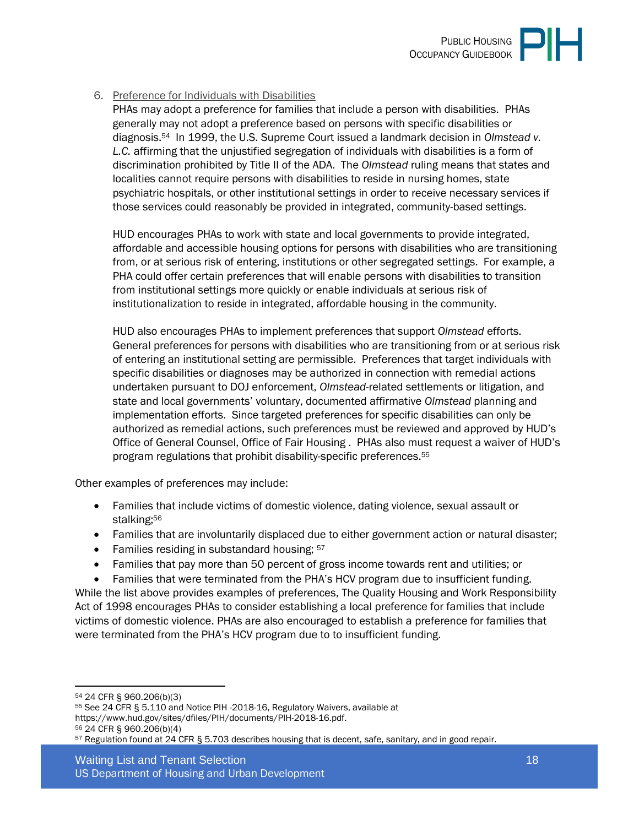

#### 6. Preference for Individuals with Disabilities

PHAs may adopt a preference for families that include a person with disabilities. PHAs generally may not adopt a preference based on persons with specific disabilities or diagnosis.54 In 1999, the U.S. Supreme Court issued a landmark decision in *Olmstead v. L.C.* affirming that the unjustified segregation of individuals with disabilities is a form of discrimination prohibited by Title II of the ADA. The *Olmstead* ruling means that states and localities cannot require persons with disabilities to reside in nursing homes, state psychiatric hospitals, or other institutional settings in order to receive necessary services if those services could reasonably be provided in integrated, community-based settings.

HUD encourages PHAs to work with state and local governments to provide integrated, affordable and accessible housing options for persons with disabilities who are transitioning from, or at serious risk of entering, institutions or other segregated settings. For example, a PHA could offer certain preferences that will enable persons with disabilities to transition from institutional settings more quickly or enable individuals at serious risk of institutionalization to reside in integrated, affordable housing in the community.

HUD also encourages PHAs to implement preferences that support *Olmstead* efforts. General preferences for persons with disabilities who are transitioning from or at serious risk of entering an institutional setting are permissible. Preferences that target individuals with specific disabilities or diagnoses may be authorized in connection with remedial actions undertaken pursuant to DOJ enforcement, *Olmstead*-related settlements or litigation, and state and local governments' voluntary, documented affirmative *Olmstead* planning and implementation efforts. Since targeted preferences for specific disabilities can only be authorized as remedial actions, such preferences must be reviewed and approved by HUD's Office of General Counsel, Office of Fair Housing . PHAs also must request a waiver of HUD's program regulations that prohibit disability-specific preferences.<sup>55</sup>

Other examples of preferences may include:

- Families that include victims of domestic violence, dating violence, sexual assault or stalking;<sup>56</sup>
- Families that are involuntarily displaced due to either government action or natural disaster;
- Families residing in substandard housing;  $57$
- Families that pay more than 50 percent of gross income towards rent and utilities; or
- Families that were terminated from the PHA's HCV program due to insufficient funding. While the list above provides examples of preferences, The Quality Housing and Work Responsibility Act of 1998 encourages PHAs to consider establishing a local preference for families that include victims of domestic violence. PHAs are also encouraged to establish a preference for families that were terminated from the PHA's HCV program due to to insufficient funding.

<sup>55</sup> See 24 CFR § 5.110 and Notice PIH -2018-16, Regulatory Waivers, available at https://www.hud.gov/sites/dfiles/PIH/documents/PIH-2018-16.pdf. <sup>56</sup> 24 CFR § 960.206(b)(4)

<sup>54</sup> 24 CFR § 960.206(b)(3)

<sup>57</sup> Regulation found at 24 CFR § 5.703 describes housing that is decent, safe, sanitary, and in good repair.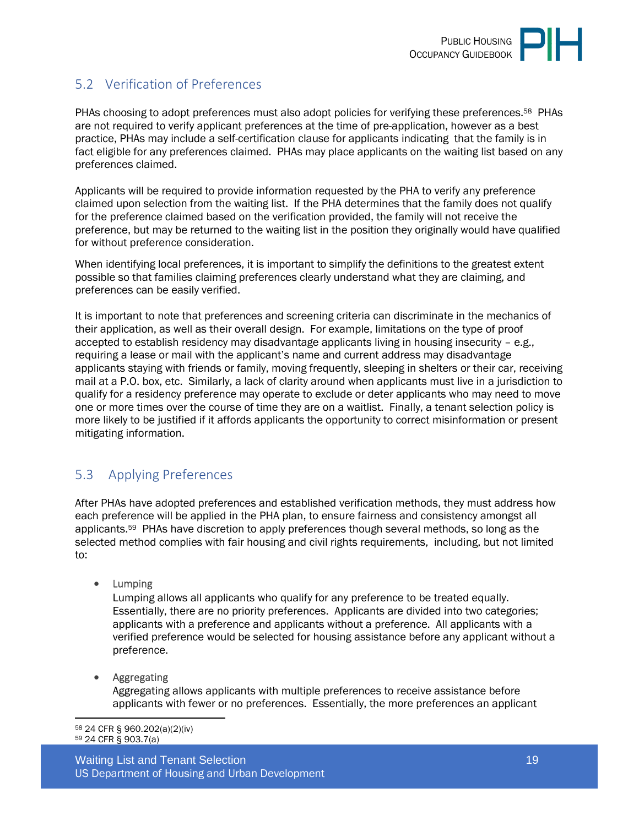# <span id="page-18-0"></span>5.2 Verification of Preferences

PHAs choosing to adopt preferences must also adopt policies for verifying these preferences.58 PHAs are not required to verify applicant preferences at the time of pre-application, however as a best practice, PHAs may include a self-certification clause for applicants indicating that the family is in fact eligible for any preferences claimed. PHAs may place applicants on the waiting list based on any preferences claimed.

Applicants will be required to provide information requested by the PHA to verify any preference claimed upon selection from the waiting list. If the PHA determines that the family does not qualify for the preference claimed based on the verification provided, the family will not receive the preference, but may be returned to the waiting list in the position they originally would have qualified for without preference consideration.

When identifying local preferences, it is important to simplify the definitions to the greatest extent possible so that families claiming preferences clearly understand what they are claiming, and preferences can be easily verified.

It is important to note that preferences and screening criteria can discriminate in the mechanics of their application, as well as their overall design. For example, limitations on the type of proof accepted to establish residency may disadvantage applicants living in housing insecurity – e.g., requiring a lease or mail with the applicant's name and current address may disadvantage applicants staying with friends or family, moving frequently, sleeping in shelters or their car, receiving mail at a P.O. box, etc. Similarly, a lack of clarity around when applicants must live in a jurisdiction to qualify for a residency preference may operate to exclude or deter applicants who may need to move one or more times over the course of time they are on a waitlist. Finally, a tenant selection policy is more likely to be justified if it affords applicants the opportunity to correct misinformation or present mitigating information.

## <span id="page-18-1"></span>5.3 Applying Preferences

After PHAs have adopted preferences and established verification methods, they must address how each preference will be applied in the PHA plan, to ensure fairness and consistency amongst all applicants.59 PHAs have discretion to apply preferences though several methods, so long as the selected method complies with fair housing and civil rights requirements, including, but not limited to:

• Lumping

Lumping allows all applicants who qualify for any preference to be treated equally. Essentially, there are no priority preferences. Applicants are divided into two categories; applicants with a preference and applicants without a preference. All applicants with a verified preference would be selected for housing assistance before any applicant without a preference.

Aggregating

Aggregating allows applicants with multiple preferences to receive assistance before applicants with fewer or no preferences. Essentially, the more preferences an applicant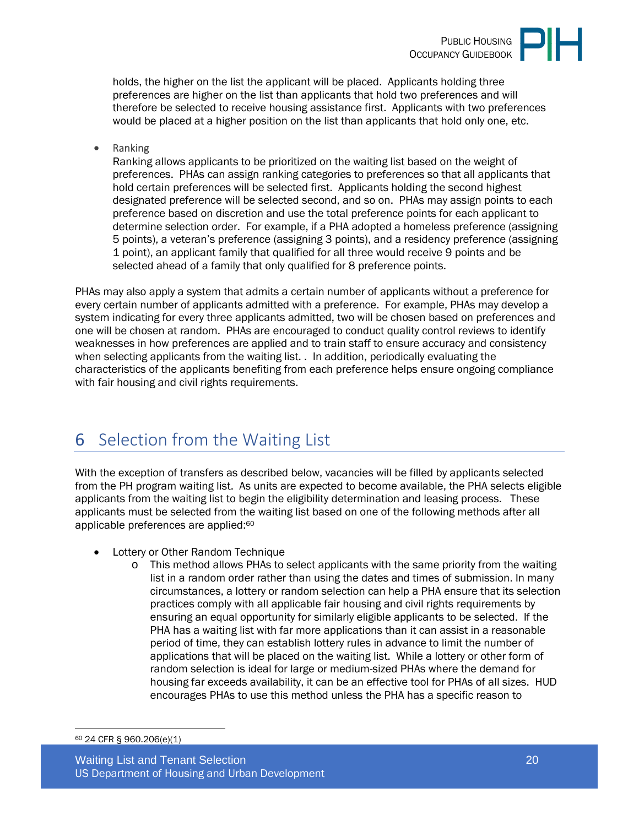

holds, the higher on the list the applicant will be placed. Applicants holding three preferences are higher on the list than applicants that hold two preferences and will therefore be selected to receive housing assistance first. Applicants with two preferences would be placed at a higher position on the list than applicants that hold only one, etc.

Ranking

Ranking allows applicants to be prioritized on the waiting list based on the weight of preferences. PHAs can assign ranking categories to preferences so that all applicants that hold certain preferences will be selected first. Applicants holding the second highest designated preference will be selected second, and so on. PHAs may assign points to each preference based on discretion and use the total preference points for each applicant to determine selection order. For example, if a PHA adopted a homeless preference (assigning 5 points), a veteran's preference (assigning 3 points), and a residency preference (assigning 1 point), an applicant family that qualified for all three would receive 9 points and be selected ahead of a family that only qualified for 8 preference points.

PHAs may also apply a system that admits a certain number of applicants without a preference for every certain number of applicants admitted with a preference. For example, PHAs may develop a system indicating for every three applicants admitted, two will be chosen based on preferences and one will be chosen at random. PHAs are encouraged to conduct quality control reviews to identify weaknesses in how preferences are applied and to train staff to ensure accuracy and consistency when selecting applicants from the waiting list. . In addition, periodically evaluating the characteristics of the applicants benefiting from each preference helps ensure ongoing compliance with fair housing and civil rights requirements.

# <span id="page-19-0"></span>6 Selection from the Waiting List

With the exception of transfers as described below, vacancies will be filled by applicants selected from the PH program waiting list. As units are expected to become available, the PHA selects eligible applicants from the waiting list to begin the eligibility determination and leasing process. These applicants must be selected from the waiting list based on one of the following methods after all applicable preferences are applied:<sup>60</sup>

- Lottery or Other Random Technique
	- $\circ$  This method allows PHAs to select applicants with the same priority from the waiting list in a random order rather than using the dates and times of submission. In many circumstances, a lottery or random selection can help a PHA ensure that its selection practices comply with all applicable fair housing and civil rights requirements by ensuring an equal opportunity for similarly eligible applicants to be selected. If the PHA has a waiting list with far more applications than it can assist in a reasonable period of time, they can establish lottery rules in advance to limit the number of applications that will be placed on the waiting list. While a lottery or other form of random selection is ideal for large or medium-sized PHAs where the demand for housing far exceeds availability, it can be an effective tool for PHAs of all sizes. HUD encourages PHAs to use this method unless the PHA has a specific reason to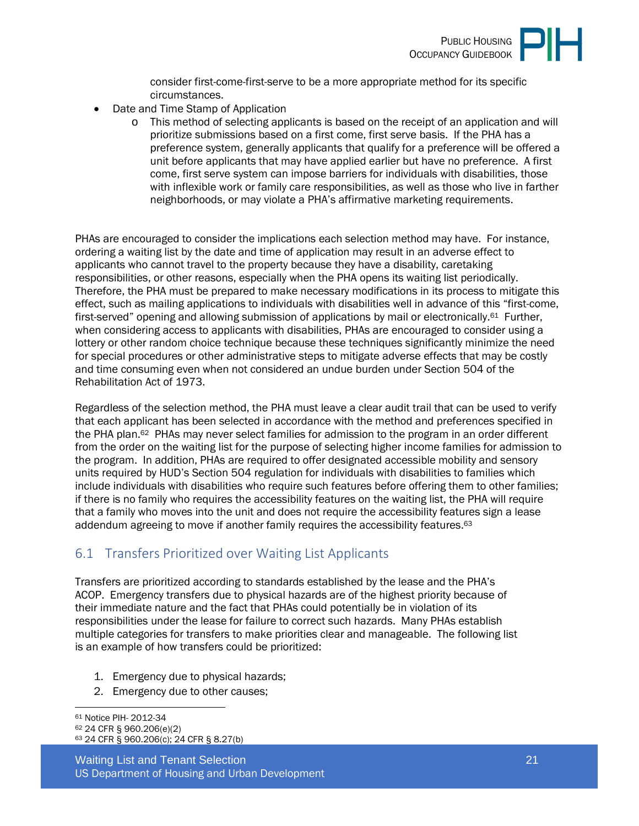

consider first-come-first-serve to be a more appropriate method for its specific circumstances.

- Date and Time Stamp of Application
	- o This method of selecting applicants is based on the receipt of an application and will prioritize submissions based on a first come, first serve basis. If the PHA has a preference system, generally applicants that qualify for a preference will be offered a unit before applicants that may have applied earlier but have no preference. A first come, first serve system can impose barriers for individuals with disabilities, those with inflexible work or family care responsibilities, as well as those who live in farther neighborhoods, or may violate a PHA's affirmative marketing requirements.

PHAs are encouraged to consider the implications each selection method may have. For instance, ordering a waiting list by the date and time of application may result in an adverse effect to applicants who cannot travel to the property because they have a disability, caretaking responsibilities, or other reasons, especially when the PHA opens its waiting list periodically. Therefore, the PHA must be prepared to make necessary modifications in its process to mitigate this effect, such as mailing applications to individuals with disabilities well in advance of this "first-come, first-served" opening and allowing submission of applications by mail or electronically.<sup>61</sup> Further, when considering access to applicants with disabilities, PHAs are encouraged to consider using a lottery or other random choice technique because these techniques significantly minimize the need for special procedures or other administrative steps to mitigate adverse effects that may be costly and time consuming even when not considered an undue burden under Section 504 of the Rehabilitation Act of 1973.

Regardless of the selection method, the PHA must leave a clear audit trail that can be used to verify that each applicant has been selected in accordance with the method and preferences specified in the PHA plan.<sup>62</sup> PHAs may never select families for admission to the program in an order different from the order on the waiting list for the purpose of selecting higher income families for admission to the program. In addition, PHAs are required to offer designated accessible mobility and sensory units required by HUD's Section 504 regulation for individuals with disabilities to families which include individuals with disabilities who require such features before offering them to other families; if there is no family who requires the accessibility features on the waiting list, the PHA will require that a family who moves into the unit and does not require the accessibility features sign a lease addendum agreeing to move if another family requires the accessibility features.<sup>63</sup>

### <span id="page-20-0"></span>6.1 Transfers Prioritized over Waiting List Applicants

Transfers are prioritized according to standards established by the lease and the PHA's ACOP. Emergency transfers due to physical hazards are of the highest priority because of their immediate nature and the fact that PHAs could potentially be in violation of its responsibilities under the lease for failure to correct such hazards. Many PHAs establish multiple categories for transfers to make priorities clear and manageable. The following list is an example of how transfers could be prioritized:

- 1. Emergency due to physical hazards;
- 2. Emergency due to other causes;

```
61 Notice PIH- 2012-34 
62 24 CFR § 960.206(e)(2) 
63 24 CFR § 960.206(c); 24 CFR § 8.27(b)
```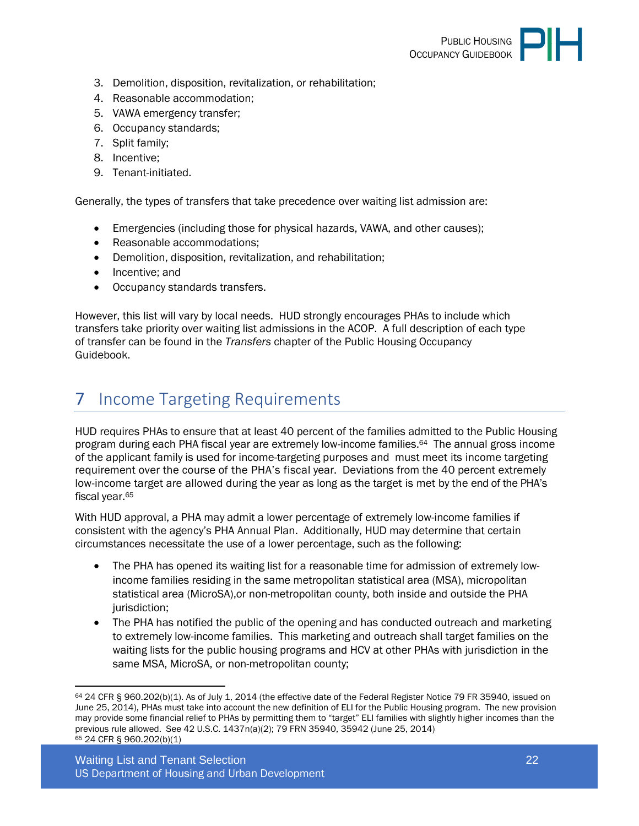

- 3. Demolition, disposition, revitalization, or rehabilitation;
- 4. Reasonable accommodation;
- 5. VAWA emergency transfer;
- 6. Occupancy standards;
- 7. Split family;
- 8. Incentive;
- 9. Tenant-initiated.

Generally, the types of transfers that take precedence over waiting list admission are:

- Emergencies (including those for physical hazards, VAWA, and other causes);
- Reasonable accommodations:
- Demolition, disposition, revitalization, and rehabilitation;
- Incentive: and
- Occupancy standards transfers.

However, this list will vary by local needs. HUD strongly encourages PHAs to include which transfers take priority over waiting list admissions in the ACOP. A full description of each type of transfer can be found in the *Transfers* chapter of the Public Housing Occupancy Guidebook.

# <span id="page-21-0"></span>7 Income Targeting Requirements

HUD requires PHAs to ensure that at least 40 percent of the families admitted to the Public Housing program during each PHA fiscal year are extremely low-income families.64 The annual gross income of the applicant family is used for income-targeting purposes and must meet its income targeting requirement over the course of the PHA's fiscal year. Deviations from the 40 percent extremely low-income target are allowed during the year as long as the target is met by the end of the PHA's fiscal year.<sup>65</sup>

With HUD approval, a PHA may admit a lower percentage of extremely low-income families if consistent with the agency's PHA Annual Plan. Additionally, HUD may determine that certain circumstances necessitate the use of a lower percentage, such as the following:

- The PHA has opened its waiting list for a reasonable time for admission of extremely lowincome families residing in the same metropolitan statistical area (MSA), micropolitan statistical area (MicroSA),or non-metropolitan county, both inside and outside the PHA jurisdiction;
- The PHA has notified the public of the opening and has conducted outreach and marketing to extremely low-income families. This marketing and outreach shall target families on the waiting lists for the public housing programs and HCV at other PHAs with jurisdiction in the same MSA, MicroSA, or non-metropolitan county;

 $64$  24 CFR § 960.202(b)(1). As of July 1, 2014 (the effective date of the Federal Register Notice 79 FR 35940, issued on June 25, 2014), PHAs must take into account the new definition of ELI for the Public Housing program. The new provision may provide some financial relief to PHAs by permitting them to "target" ELI families with slightly higher incomes than the previous rule allowed. See 42 U.S.C. 1437n(a)(2); 79 FRN 35940, 35942 (June 25, 2014) 65 24 CFR § 960.202(b)(1)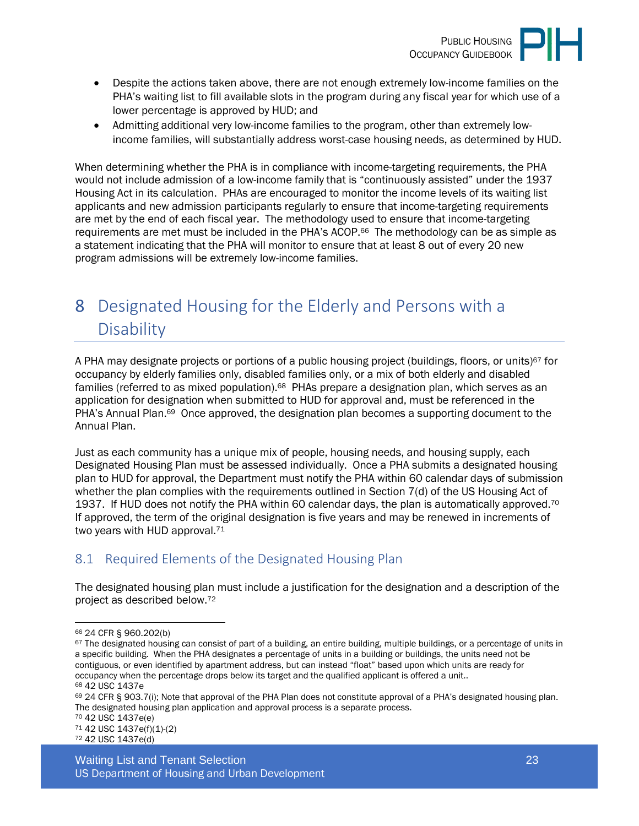

- Despite the actions taken above, there are not enough extremely low-income families on the PHA's waiting list to fill available slots in the program during any fiscal year for which use of a lower percentage is approved by HUD; and
- Admitting additional very low-income families to the program, other than extremely lowincome families, will substantially address worst-case housing needs, as determined by HUD.

When determining whether the PHA is in compliance with income-targeting requirements, the PHA would not include admission of a low-income family that is "continuously assisted" under the 1937 Housing Act in its calculation. PHAs are encouraged to monitor the income levels of its waiting list applicants and new admission participants regularly to ensure that income-targeting requirements are met by the end of each fiscal year. The methodology used to ensure that income-targeting requirements are met must be included in the PHA's ACOP.<sup>66</sup> The methodology can be as simple as a statement indicating that the PHA will monitor to ensure that at least 8 out of every 20 new program admissions will be extremely low-income families.

# <span id="page-22-0"></span>8 Designated Housing for the Elderly and Persons with a **Disability**

A PHA may designate projects or portions of a public housing project (buildings, floors, or units)<sup>67</sup> for occupancy by elderly families only, disabled families only, or a mix of both elderly and disabled families (referred to as mixed population).<sup>68</sup> PHAs prepare a designation plan, which serves as an application for designation when submitted to HUD for approval and, must be referenced in the PHA's Annual Plan.<sup>69</sup> Once approved, the designation plan becomes a supporting document to the Annual Plan.

Just as each community has a unique mix of people, housing needs, and housing supply, each Designated Housing Plan must be assessed individually. Once a PHA submits a designated housing plan to HUD for approval, the Department must notify the PHA within 60 calendar days of submission whether the plan complies with the requirements outlined in Section 7(d) of the US Housing Act of 1937. If HUD does not notify the PHA within 60 calendar days, the plan is automatically approved.<sup>70</sup> If approved, the term of the original designation is five years and may be renewed in increments of two years with HUD approval.<sup>71</sup>

# <span id="page-22-1"></span>8.1 Required Elements of the Designated Housing Plan

The designated housing plan must include a justification for the designation and a description of the project as described below.<sup>72</sup>

<sup>71</sup> 42 USC 1437e(f)(1)-(2) 72 42 USC 1437e(d)

<sup>66</sup> 24 CFR § 960.202(b)

 $67$  The designated housing can consist of part of a building, an entire building, multiple buildings, or a percentage of units in a specific building. When the PHA designates a percentage of units in a building or buildings, the units need not be contiguous, or even identified by apartment address, but can instead "float" based upon which units are ready for occupancy when the percentage drops below its target and the qualified applicant is offered a unit.. <sup>68</sup> 42 USC 1437e

<sup>69 24</sup> CFR § 903.7(i); Note that approval of the PHA Plan does not constitute approval of a PHA's designated housing plan. The designated housing plan application and approval process is a separate process.

<sup>70</sup> 42 USC 1437e(e)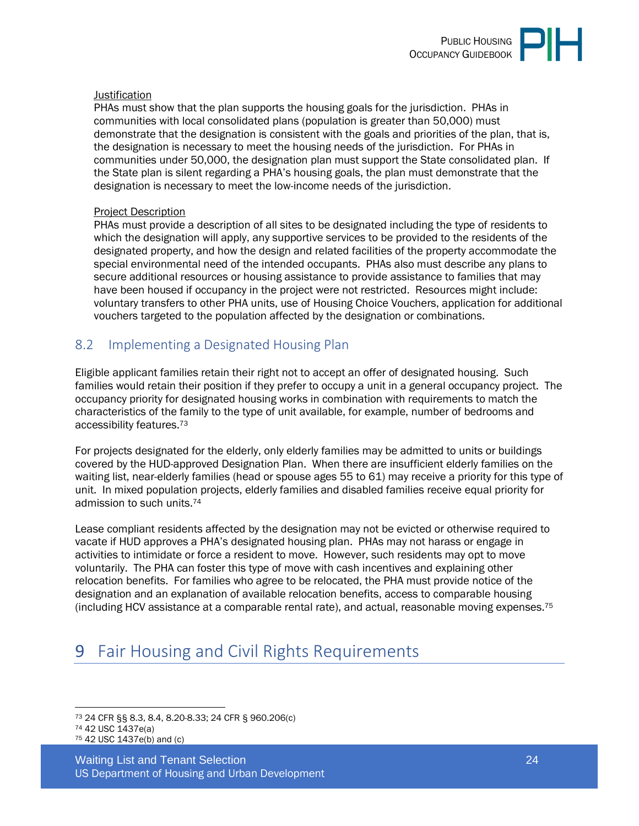

#### **Justification**

PHAs must show that the plan supports the housing goals for the jurisdiction. PHAs in communities with local consolidated plans (population is greater than 50,000) must demonstrate that the designation is consistent with the goals and priorities of the plan, that is, the designation is necessary to meet the housing needs of the jurisdiction. For PHAs in communities under 50,000, the designation plan must support the State consolidated plan. If the State plan is silent regarding a PHA's housing goals, the plan must demonstrate that the designation is necessary to meet the low-income needs of the jurisdiction.

#### Project Description

PHAs must provide a description of all sites to be designated including the type of residents to which the designation will apply, any supportive services to be provided to the residents of the designated property, and how the design and related facilities of the property accommodate the special environmental need of the intended occupants. PHAs also must describe any plans to secure additional resources or housing assistance to provide assistance to families that may have been housed if occupancy in the project were not restricted. Resources might include: voluntary transfers to other PHA units, use of Housing Choice Vouchers, application for additional vouchers targeted to the population affected by the designation or combinations.

#### <span id="page-23-0"></span>8.2 Implementing a Designated Housing Plan

Eligible applicant families retain their right not to accept an offer of designated housing. Such families would retain their position if they prefer to occupy a unit in a general occupancy project. The occupancy priority for designated housing works in combination with requirements to match the characteristics of the family to the type of unit available, for example, number of bedrooms and accessibility features.<sup>73</sup>

For projects designated for the elderly, only elderly families may be admitted to units or buildings covered by the HUD-approved Designation Plan. When there are insufficient elderly families on the waiting list, near-elderly families (head or spouse ages 55 to 61) may receive a priority for this type of unit. In mixed population projects, elderly families and disabled families receive equal priority for admission to such units.<sup>74</sup>

Lease compliant residents affected by the designation may not be evicted or otherwise required to vacate if HUD approves a PHA's designated housing plan. PHAs may not harass or engage in activities to intimidate or force a resident to move. However, such residents may opt to move voluntarily. The PHA can foster this type of move with cash incentives and explaining other relocation benefits. For families who agree to be relocated, the PHA must provide notice of the designation and an explanation of available relocation benefits, access to comparable housing (including HCV assistance at a comparable rental rate), and actual, reasonable moving expenses.<sup>75</sup>

# <span id="page-23-1"></span>9 Fair Housing and Civil Rights Requirements

<sup>73</sup> 24 CFR §§ 8.3, 8.4, 8.20-8.33; 24 CFR § 960.206(c) <sup>74</sup> 42 USC 1437e(a) 75 42 USC 1437e(b) and (c)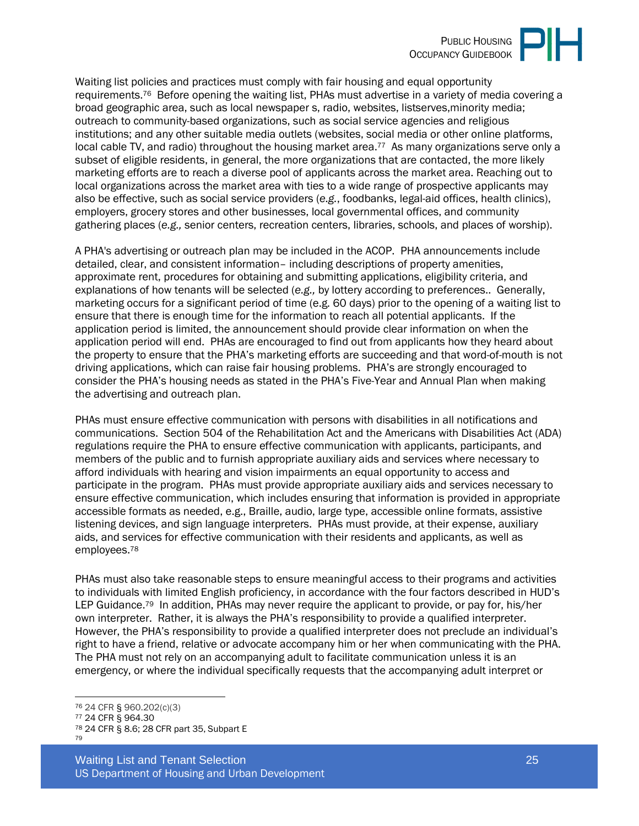

Waiting list policies and practices must comply with fair housing and equal opportunity requirements.76 Before opening the waiting list, PHAs must advertise in a variety of media covering a broad geographic area, such as local newspaper s, radio, websites, listserves,minority media; outreach to community-based organizations, such as social service agencies and religious institutions; and any other suitable media outlets (websites, social media or other online platforms, local cable TV, and radio) throughout the housing market area.<sup>77</sup> As many organizations serve only a subset of eligible residents, in general, the more organizations that are contacted, the more likely marketing efforts are to reach a diverse pool of applicants across the market area. Reaching out to local organizations across the market area with ties to a wide range of prospective applicants may also be effective, such as social service providers (*e.g.*, foodbanks, legal-aid offices, health clinics), employers, grocery stores and other businesses, local governmental offices, and community gathering places (*e.g.,* senior centers, recreation centers, libraries, schools, and places of worship).

A PHA's advertising or outreach plan may be included in the ACOP. PHA announcements include detailed, clear, and consistent information– including descriptions of property amenities, approximate rent, procedures for obtaining and submitting applications, eligibility criteria, and explanations of how tenants will be selected (*e.g.,* by lottery according to preferences.. Generally, marketing occurs for a significant period of time (e.g. 60 days) prior to the opening of a waiting list to ensure that there is enough time for the information to reach all potential applicants. If the application period is limited, the announcement should provide clear information on when the application period will end. PHAs are encouraged to find out from applicants how they heard about the property to ensure that the PHA's marketing efforts are succeeding and that word-of-mouth is not driving applications, which can raise fair housing problems. PHA's are strongly encouraged to consider the PHA's housing needs as stated in the PHA's Five-Year and Annual Plan when making the advertising and outreach plan.

PHAs must ensure effective communication with persons with disabilities in all notifications and communications. Section 504 of the Rehabilitation Act and the Americans with Disabilities Act (ADA) regulations require the PHA to ensure effective communication with applicants, participants, and members of the public and to furnish appropriate auxiliary aids and services where necessary to afford individuals with hearing and vision impairments an equal opportunity to access and participate in the program. PHAs must provide appropriate auxiliary aids and services necessary to ensure effective communication, which includes ensuring that information is provided in appropriate accessible formats as needed, e.g., Braille, audio, large type, accessible online formats, assistive listening devices, and sign language interpreters. PHAs must provide, at their expense, auxiliary aids, and services for effective communication with their residents and applicants, as well as employees.<sup>78</sup>

PHAs must also take reasonable steps to ensure meaningful access to their programs and activities to individuals with limited English proficiency, in accordance with the four factors described in HUD's LEP Guidance.<sup>79</sup> In addition, PHAs may never require the applicant to provide, or pay for, his/her own interpreter. Rather, it is always the PHA's responsibility to provide a qualified interpreter. However, the PHA's responsibility to provide a qualified interpreter does not preclude an individual's right to have a friend, relative or advocate accompany him or her when communicating with the PHA. The PHA must not rely on an accompanying adult to facilitate communication unless it is an emergency, or where the individual specifically requests that the accompanying adult interpret or

Waiting List and Tenant Selection 25 US Department of Housing and Urban Development

<sup>76</sup> 24 CFR § 960.202(c)(3) <sup>77</sup> 24 CFR § 964.30 <sup>78</sup> 24 CFR § 8.6; 28 CFR part 35, Subpart E 79